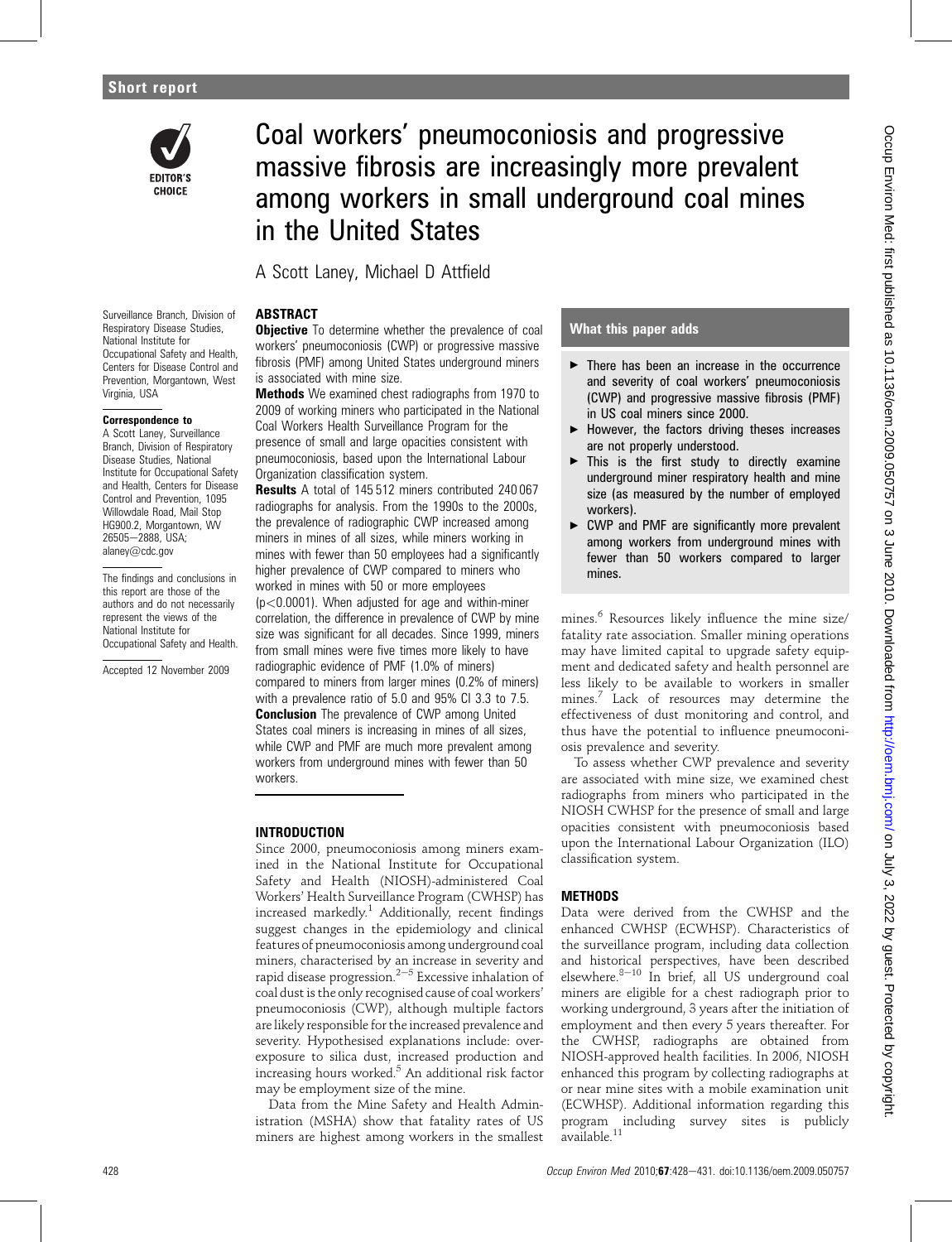

# Coal workers' pneumoconiosis and progressive massive fibrosis are increasingly more prevalent among workers in small underground coal mines in the United States

A Scott Laney, Michael D Attfield

#### Surveillance Branch, Division of Respiratory Disease Studies, National Institute for Occupational Safety and Health, Centers for Disease Control and Prevention, Morgantown, West Virginia, USA

### Correspondence to

A Scott Laney, Surveillance Branch, Division of Respiratory Disease Studies, National Institute for Occupational Safety and Health, Centers for Disease Control and Prevention, 1095 Willowdale Road, Mail Stop HG900.2, Morgantown, WV 26505-2888, USA; alaney@cdc.gov

The findings and conclusions in this report are those of the authors and do not necessarily represent the views of the National Institute for Occupational Safety and Health.

Accepted 12 November 2009

# ABSTRACT

**Objective** To determine whether the prevalence of coal workers' pneumoconiosis (CWP) or progressive massive fibrosis (PMF) among United States underground miners is associated with mine size.

Methods We examined chest radiographs from 1970 to 2009 of working miners who participated in the National Coal Workers Health Surveillance Program for the presence of small and large opacities consistent with pneumoconiosis, based upon the International Labour Organization classification system.

Results A total of 145 512 miners contributed 240 067 radiographs for analysis. From the 1990s to the 2000s, the prevalence of radiographic CWP increased among miners in mines of all sizes, while miners working in mines with fewer than 50 employees had a significantly higher prevalence of CWP compared to miners who worked in mines with 50 or more employees  $(p<0.0001)$ . When adjusted for age and within-miner correlation, the difference in prevalence of CWP by mine size was significant for all decades. Since 1999, miners from small mines were five times more likely to have radiographic evidence of PMF (1.0% of miners) compared to miners from larger mines (0.2% of miners) with a prevalence ratio of 5.0 and 95% CI 3.3 to 7.5. **Conclusion** The prevalence of CWP among United States coal miners is increasing in mines of all sizes, while CWP and PMF are much more prevalent among workers from underground mines with fewer than 50 workers.

# INTRODUCTION

Since 2000, pneumoconiosis among miners examined in the National Institute for Occupational Safety and Health (NIOSH)-administered Coal Workers' Health Surveillance Program (CWHSP) has increased markedly.<sup>1</sup> Additionally, recent findings suggest changes in the epidemiology and clinical features of pneumoconiosis among underground coal miners, characterised by an increase in severity and rapid disease progression.<sup> $2-5$ </sup> Excessive inhalation of coal dust is the only recognised cause of coal workers' pneumoconiosis (CWP), although multiple factors are likely responsible for the increased prevalence and severity. Hypothesised explanations include: overexposure to silica dust, increased production and increasing hours worked.<sup>5</sup> An additional risk factor may be employment size of the mine.

Data from the Mine Safety and Health Administration (MSHA) show that fatality rates of US miners are highest among workers in the smallest

# What this paper adds

- $\blacktriangleright$  There has been an increase in the occurrence and severity of coal workers' pneumoconiosis (CWP) and progressive massive fibrosis (PMF) in US coal miners since 2000.
- $\blacktriangleright$  However, the factors driving theses increases are not properly understood.
- $\blacktriangleright$  This is the first study to directly examine underground miner respiratory health and mine size (as measured by the number of employed workers).
- ▶ CWP and PMF are significantly more prevalent among workers from underground mines with fewer than 50 workers compared to larger mines.

mines.<sup>6</sup> Resources likely influence the mine size/ fatality rate association. Smaller mining operations may have limited capital to upgrade safety equipment and dedicated safety and health personnel are less likely to be available to workers in smaller mines.<sup>7</sup> Lack of resources may determine the effectiveness of dust monitoring and control, and thus have the potential to influence pneumoconiosis prevalence and severity.

To assess whether CWP prevalence and severity are associated with mine size, we examined chest radiographs from miners who participated in the NIOSH CWHSP for the presence of small and large opacities consistent with pneumoconiosis based upon the International Labour Organization (ILO) classification system.

# **METHODS**

Data were derived from the CWHSP and the enhanced CWHSP (ECWHSP). Characteristics of the surveillance program, including data collection and historical perspectives, have been described elsewhere. $8-10$  In brief, all US underground coal miners are eligible for a chest radiograph prior to working underground, 3 years after the initiation of employment and then every 5 years thereafter. For the CWHSP, radiographs are obtained from NIOSH-approved health facilities. In 2006, NIOSH enhanced this program by collecting radiographs at or near mine sites with a mobile examination unit (ECWHSP). Additional information regarding this program including survey sites is publicly available.<sup>11</sup>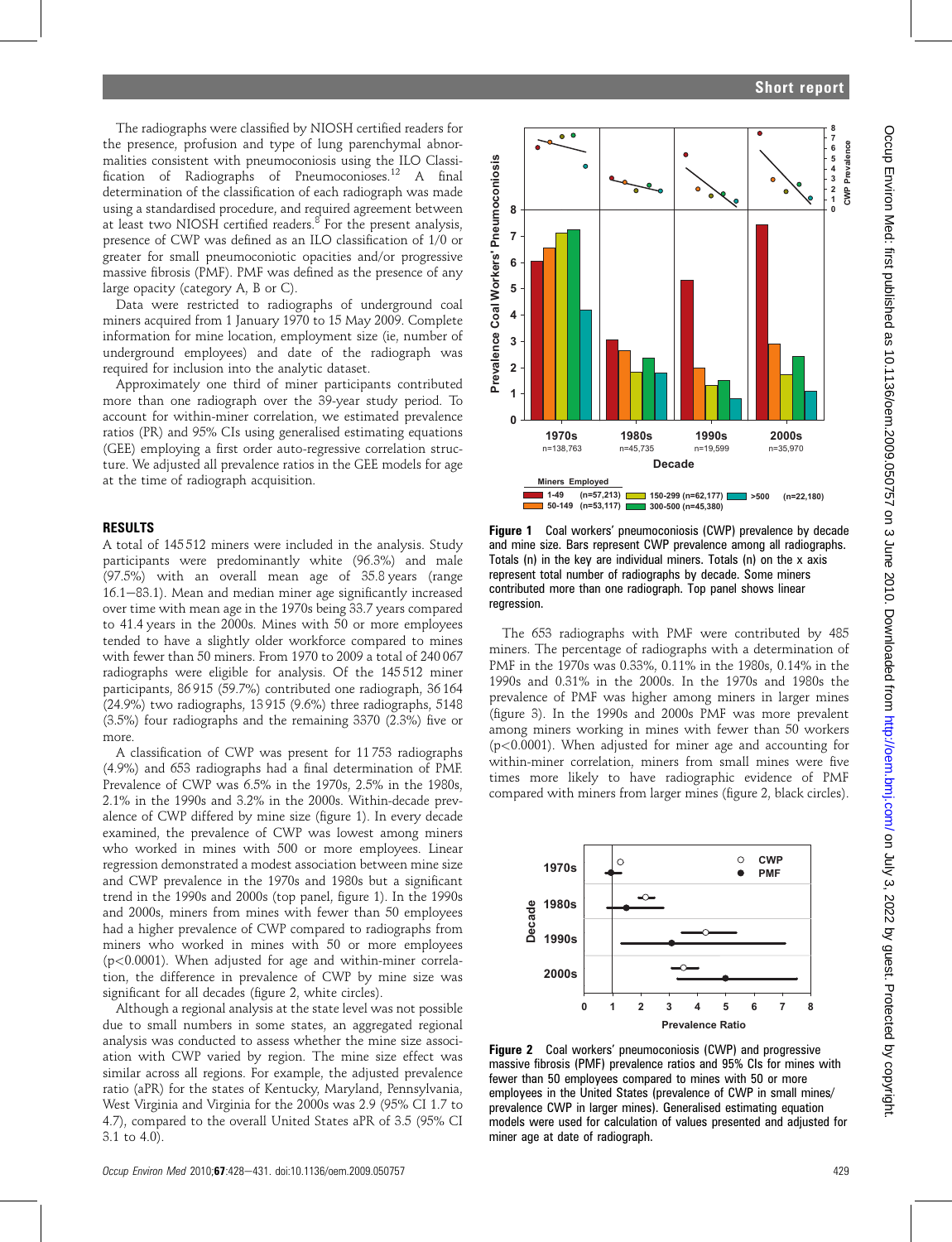The radiographs were classified by NIOSH certified readers for the presence, profusion and type of lung parenchymal abnormalities consistent with pneumoconiosis using the ILO Classification of Radiographs of Pneumoconioses.<sup>12</sup> A final determination of the classification of each radiograph was made using a standardised procedure, and required agreement between at least two NIOSH certified readers. $8^8$  For the present analysis, presence of CWP was defined as an ILO classification of 1/0 or greater for small pneumoconiotic opacities and/or progressive massive fibrosis (PMF). PMF was defined as the presence of any large opacity (category A, B or C).

Data were restricted to radiographs of underground coal miners acquired from 1 January 1970 to 15 May 2009. Complete information for mine location, employment size (ie, number of underground employees) and date of the radiograph was required for inclusion into the analytic dataset.

Approximately one third of miner participants contributed more than one radiograph over the 39-year study period. To account for within-miner correlation, we estimated prevalence ratios (PR) and 95% CIs using generalised estimating equations (GEE) employing a first order auto-regressive correlation structure. We adjusted all prevalence ratios in the GEE models for age at the time of radiograph acquisition.

### RESULTS

A total of 145 512 miners were included in the analysis. Study participants were predominantly white (96.3%) and male (97.5%) with an overall mean age of 35.8 years (range  $16.1-83.1$ ). Mean and median miner age significantly increased over time with mean age in the 1970s being 33.7 years compared to 41.4 years in the 2000s. Mines with 50 or more employees tended to have a slightly older workforce compared to mines with fewer than 50 miners. From 1970 to 2009 a total of 240 067 radiographs were eligible for analysis. Of the 145 512 miner participants, 86 915 (59.7%) contributed one radiograph, 36 164 (24.9%) two radiographs, 13 915 (9.6%) three radiographs, 5148 (3.5%) four radiographs and the remaining 3370 (2.3%) five or more.

A classification of CWP was present for 11 753 radiographs (4.9%) and 653 radiographs had a final determination of PMF. Prevalence of CWP was 6.5% in the 1970s, 2.5% in the 1980s, 2.1% in the 1990s and 3.2% in the 2000s. Within-decade prevalence of CWP differed by mine size (figure 1). In every decade examined, the prevalence of CWP was lowest among miners who worked in mines with 500 or more employees. Linear regression demonstrated a modest association between mine size and CWP prevalence in the 1970s and 1980s but a significant trend in the 1990s and 2000s (top panel, figure 1). In the 1990s and 2000s, miners from mines with fewer than 50 employees had a higher prevalence of CWP compared to radiographs from miners who worked in mines with 50 or more employees (p<0.0001). When adjusted for age and within-miner correlation, the difference in prevalence of CWP by mine size was significant for all decades (figure 2, white circles).

Although a regional analysis at the state level was not possible due to small numbers in some states, an aggregated regional analysis was conducted to assess whether the mine size association with CWP varied by region. The mine size effect was similar across all regions. For example, the adjusted prevalence ratio (aPR) for the states of Kentucky, Maryland, Pennsylvania, West Virginia and Virginia for the 2000s was 2.9 (95% CI 1.7 to 4.7), compared to the overall United States aPR of 3.5 (95% CI 3.1 to 4.0).





Figure 1 Coal workers' pneumoconiosis (CWP) prevalence by decade and mine size. Bars represent CWP prevalence among all radiographs. Totals (n) in the key are individual miners. Totals (n) on the x axis represent total number of radiographs by decade. Some miners contributed more than one radiograph. Top panel shows linear regression.

The 653 radiographs with PMF were contributed by 485 miners. The percentage of radiographs with a determination of PMF in the 1970s was 0.33%, 0.11% in the 1980s, 0.14% in the 1990s and 0.31% in the 2000s. In the 1970s and 1980s the prevalence of PMF was higher among miners in larger mines (figure 3). In the 1990s and 2000s PMF was more prevalent among miners working in mines with fewer than 50 workers (p<0.0001). When adjusted for miner age and accounting for within-miner correlation, miners from small mines were five times more likely to have radiographic evidence of PMF compared with miners from larger mines (figure 2, black circles).



Figure 2 Coal workers' pneumoconiosis (CWP) and progressive massive fibrosis (PMF) prevalence ratios and 95% CIs for mines with fewer than 50 employees compared to mines with 50 or more employees in the United States (prevalence of CWP in small mines/ prevalence CWP in larger mines). Generalised estimating equation models were used for calculation of values presented and adjusted for miner age at date of radiograph.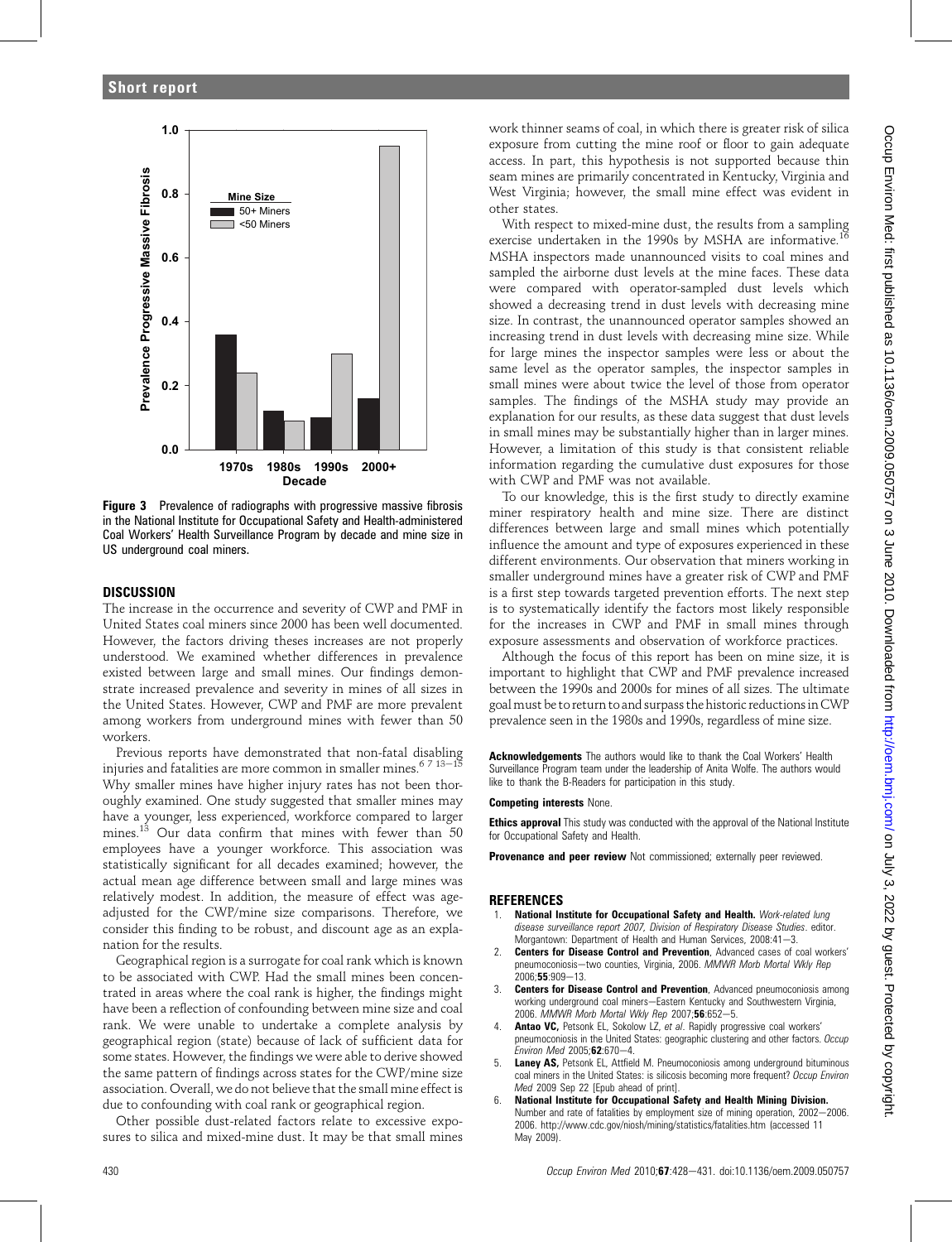

Figure 3 Prevalence of radiographs with progressive massive fibrosis in the National Institute for Occupational Safety and Health-administered Coal Workers' Health Surveillance Program by decade and mine size in US underground coal miners.

# **DISCUSSION**

The increase in the occurrence and severity of CWP and PMF in United States coal miners since 2000 has been well documented. However, the factors driving theses increases are not properly understood. We examined whether differences in prevalence existed between large and small mines. Our findings demonstrate increased prevalence and severity in mines of all sizes in the United States. However, CWP and PMF are more prevalent among workers from underground mines with fewer than 50 workers.

Previous reports have demonstrated that non-fatal disabling injuries and fatalities are more common in smaller mines. $^{6\ 7\ 13-15}$ Why smaller mines have higher injury rates has not been thoroughly examined. One study suggested that smaller mines may have a younger, less experienced, workforce compared to larger mines.<sup>13</sup> Our data confirm that mines with fewer than 50 employees have a younger workforce. This association was statistically significant for all decades examined; however, the actual mean age difference between small and large mines was relatively modest. In addition, the measure of effect was ageadjusted for the CWP/mine size comparisons. Therefore, we consider this finding to be robust, and discount age as an explanation for the results.

Geographical region is a surrogate for coal rank which is known to be associated with CWP. Had the small mines been concentrated in areas where the coal rank is higher, the findings might have been a reflection of confounding between mine size and coal rank. We were unable to undertake a complete analysis by geographical region (state) because of lack of sufficient data for some states. However, the findings we were able to derive showed the same pattern of findings across states for the CWP/mine size association. Overall, we do not believe that the small mine effect is due to confounding with coal rank or geographical region.

Other possible dust-related factors relate to excessive exposures to silica and mixed-mine dust. It may be that small mines work thinner seams of coal, in which there is greater risk of silica exposure from cutting the mine roof or floor to gain adequate access. In part, this hypothesis is not supported because thin seam mines are primarily concentrated in Kentucky, Virginia and West Virginia; however, the small mine effect was evident in other states.

With respect to mixed-mine dust, the results from a sampling exercise undertaken in the 1990s by MSHA are informative.<sup>16</sup> MSHA inspectors made unannounced visits to coal mines and sampled the airborne dust levels at the mine faces. These data were compared with operator-sampled dust levels which showed a decreasing trend in dust levels with decreasing mine size. In contrast, the unannounced operator samples showed an increasing trend in dust levels with decreasing mine size. While for large mines the inspector samples were less or about the same level as the operator samples, the inspector samples in small mines were about twice the level of those from operator samples. The findings of the MSHA study may provide an explanation for our results, as these data suggest that dust levels in small mines may be substantially higher than in larger mines. However, a limitation of this study is that consistent reliable information regarding the cumulative dust exposures for those with CWP and PMF was not available.

To our knowledge, this is the first study to directly examine miner respiratory health and mine size. There are distinct differences between large and small mines which potentially influence the amount and type of exposures experienced in these different environments. Our observation that miners working in smaller underground mines have a greater risk of CWP and PMF is a first step towards targeted prevention efforts. The next step is to systematically identify the factors most likely responsible for the increases in CWP and PMF in small mines through exposure assessments and observation of workforce practices.

Although the focus of this report has been on mine size, it is important to highlight that CWP and PMF prevalence increased between the 1990s and 2000s for mines of all sizes. The ultimate goalmust be to return to and surpass the historic reductions in CWP prevalence seen in the 1980s and 1990s, regardless of mine size.

Acknowledgements The authors would like to thank the Coal Workers' Health Surveillance Program team under the leadership of Anita Wolfe. The authors would like to thank the B-Readers for participation in this study.

#### Competing interests None.

**Ethics approval** This study was conducted with the approval of the National Institute for Occupational Safety and Health.

Provenance and peer review Not commissioned; externally peer reviewed.

# REFERENCES

- National Institute for Occupational Safety and Health. Work-related lung disease surveillance report 2007, Division of Respiratory Disease Studies. editor. Morgantown: Department of Health and Human Services, 2008:41-3.
- Centers for Disease Control and Prevention, Advanced cases of coal workers' pneumoconiosis-two counties, Virginia, 2006. MMWR Morb Mortal Wkly Rep  $2006:55:909 - 13$
- 3. **Centers for Disease Control and Prevention**, Advanced pneumoconiosis among working underground coal miners-Eastern Kentucky and Southwestern Virginia, 2006. MMWR Morb Mortal Wkly Rep 2007;56:652-5.
- Antao VC, Petsonk EL, Sokolow LZ, et al. Rapidly progressive coal workers' pneumoconiosis in the United States: geographic clustering and other factors. Occup Environ Med 2005: $62:670-4$ .
- 5. Laney AS, Petsonk EL, Attfield M. Pneumoconiosis among underground bituminous coal miners in the United States: is silicosis becoming more frequent? Occup Environ Med 2009 Sep 22 [Epub ahead of print].
- 6. National Institute for Occupational Safety and Health Mining Division. Number and rate of fatalities by employment size of mining operation, 2002-2006. 2006. http://www.cdc.gov/niosh/mining/statistics/fatalities.htm (accessed 11 May 2009).